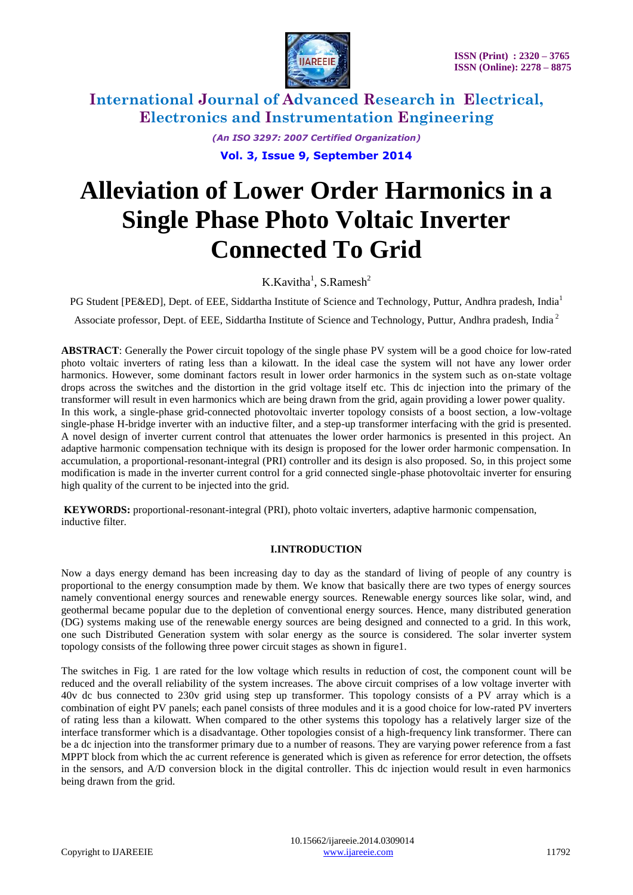

> *(An ISO 3297: 2007 Certified Organization)* **Vol. 3, Issue 9, September 2014**

# **Alleviation of Lower Order Harmonics in a Single Phase Photo Voltaic Inverter Connected To Grid**

K.Kavitha<sup>1</sup>, S.Ramesh<sup>2</sup>

PG Student [PE&ED], Dept. of EEE, Siddartha Institute of Science and Technology, Puttur, Andhra pradesh, India<sup>1</sup>

Associate professor, Dept. of EEE, Siddartha Institute of Science and Technology, Puttur, Andhra pradesh, India <sup>2</sup>

**ABSTRACT**: Generally the Power circuit topology of the single phase PV system will be a good choice for low-rated photo voltaic inverters of rating less than a kilowatt. In the ideal case the system will not have any lower order harmonics. However, some dominant factors result in lower order harmonics in the system such as on-state voltage drops across the switches and the distortion in the grid voltage itself etc. This dc injection into the primary of the transformer will result in even harmonics which are being drawn from the grid, again providing a lower power quality. In this work, a single-phase grid-connected photovoltaic inverter topology consists of a boost section, a low-voltage single-phase H-bridge inverter with an inductive filter, and a step-up transformer interfacing with the grid is presented. A novel design of inverter current control that attenuates the lower order harmonics is presented in this project. An adaptive harmonic compensation technique with its design is proposed for the lower order harmonic compensation. In accumulation, a proportional-resonant-integral (PRI) controller and its design is also proposed. So, in this project some modification is made in the inverter current control for a grid connected single-phase photovoltaic inverter for ensuring high quality of the current to be injected into the grid.

**KEYWORDS:** proportional-resonant-integral (PRI), photo voltaic inverters, adaptive harmonic compensation, inductive filter.

#### **I.INTRODUCTION**

Now a days energy demand has been increasing day to day as the standard of living of people of any country is proportional to the energy consumption made by them. We know that basically there are two types of energy sources namely conventional energy sources and renewable energy sources. Renewable energy sources like solar, wind, and geothermal became popular due to the depletion of conventional energy sources. Hence, many distributed generation (DG) systems making use of the renewable energy sources are being designed and connected to a grid. In this work, one such Distributed Generation system with solar energy as the source is considered. The solar inverter system topology consists of the following three power circuit stages as shown in figure1.

The switches in Fig. 1 are rated for the low voltage which results in reduction of cost, the component count will be reduced and the overall reliability of the system increases. The above circuit comprises of a low voltage inverter with 40v dc bus connected to 230v grid using step up transformer. This topology consists of a PV array which is a combination of eight PV panels; each panel consists of three modules and it is a good choice for low-rated PV inverters of rating less than a kilowatt. When compared to the other systems this topology has a relatively larger size of the interface transformer which is a disadvantage. Other topologies consist of a high-frequency link transformer. There can be a dc injection into the transformer primary due to a number of reasons. They are varying power reference from a fast MPPT block from which the ac current reference is generated which is given as reference for error detection, the offsets in the sensors, and A/D conversion block in the digital controller. This dc injection would result in even harmonics being drawn from the grid.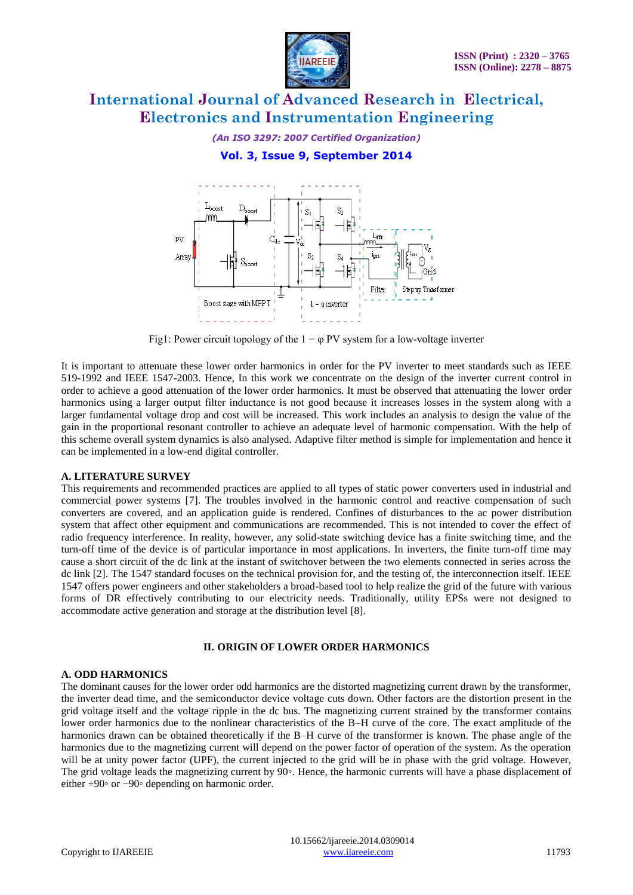

### *(An ISO 3297: 2007 Certified Organization)*

## **Vol. 3, Issue 9, September 2014**



Fig1: Power circuit topology of the  $1 - \varphi$  PV system for a low-voltage inverter

It is important to attenuate these lower order harmonics in order for the PV inverter to meet standards such as IEEE 519-1992 and IEEE 1547-2003. Hence, In this work we concentrate on the design of the inverter current control in order to achieve a good attenuation of the lower order harmonics. It must be observed that attenuating the lower order harmonics using a larger output filter inductance is not good because it increases losses in the system along with a larger fundamental voltage drop and cost will be increased. This work includes an analysis to design the value of the gain in the proportional resonant controller to achieve an adequate level of harmonic compensation. With the help of this scheme overall system dynamics is also analysed. Adaptive filter method is simple for implementation and hence it can be implemented in a low-end digital controller.

#### **A. LITERATURE SURVEY**

This requirements and recommended practices are applied to all types of static power converters used in industrial and commercial power systems [7]. The troubles involved in the harmonic control and reactive compensation of such converters are covered, and an application guide is rendered. Confines of disturbances to the ac power distribution system that affect other equipment and communications are recommended. This is not intended to cover the effect of radio frequency interference. In reality, however, any solid-state switching device has a finite switching time, and the turn-off time of the device is of particular importance in most applications. In inverters, the finite turn-off time may cause a short circuit of the dc link at the instant of switchover between the two elements connected in series across the dc link [2]. The 1547 standard focuses on the technical provision for, and the testing of, the interconnection itself. IEEE 1547 offers power engineers and other stakeholders a broad-based tool to help realize the grid of the future with various forms of DR effectively contributing to our electricity needs. Traditionally, utility EPSs were not designed to accommodate active generation and storage at the distribution level [8].

#### **II. ORIGIN OF LOWER ORDER HARMONICS**

#### **A. ODD HARMONICS**

The dominant causes for the lower order odd harmonics are the distorted magnetizing current drawn by the transformer, the inverter dead time, and the semiconductor device voltage cuts down. Other factors are the distortion present in the grid voltage itself and the voltage ripple in the dc bus. The magnetizing current strained by the transformer contains lower order harmonics due to the nonlinear characteristics of the B–H curve of the core. The exact amplitude of the harmonics drawn can be obtained theoretically if the B–H curve of the transformer is known. The phase angle of the harmonics due to the magnetizing current will depend on the power factor of operation of the system. As the operation will be at unity power factor (UPF), the current injected to the grid will be in phase with the grid voltage. However, The grid voltage leads the magnetizing current by 90◦. Hence, the harmonic currents will have a phase displacement of either +90◦ or −90◦ depending on harmonic order.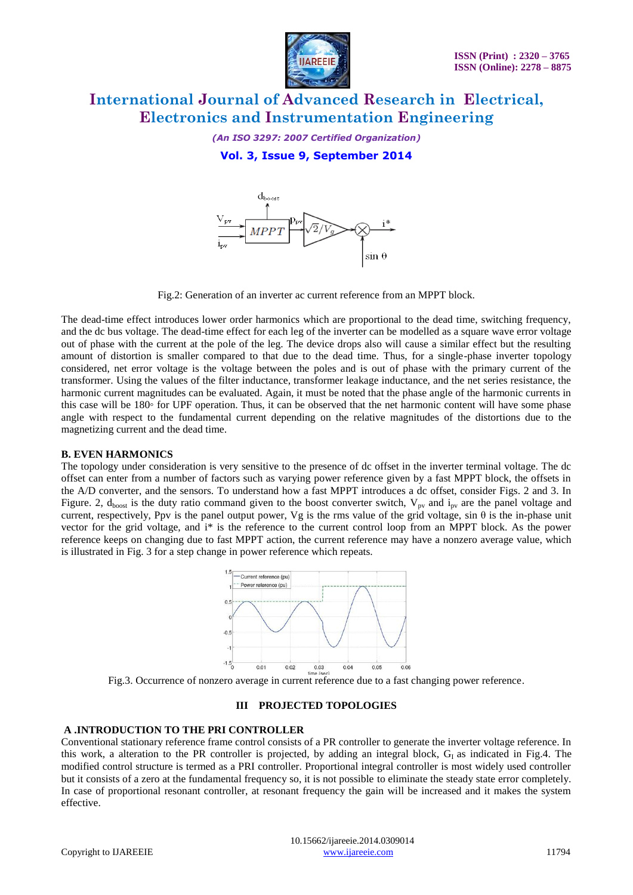

*(An ISO 3297: 2007 Certified Organization)*

## **Vol. 3, Issue 9, September 2014**



Fig.2: Generation of an inverter ac current reference from an MPPT block.

The dead-time effect introduces lower order harmonics which are proportional to the dead time, switching frequency, and the dc bus voltage. The dead-time effect for each leg of the inverter can be modelled as a square wave error voltage out of phase with the current at the pole of the leg. The device drops also will cause a similar effect but the resulting amount of distortion is smaller compared to that due to the dead time. Thus, for a single-phase inverter topology considered, net error voltage is the voltage between the poles and is out of phase with the primary current of the transformer. Using the values of the filter inductance, transformer leakage inductance, and the net series resistance, the harmonic current magnitudes can be evaluated. Again, it must be noted that the phase angle of the harmonic currents in this case will be 180◦ for UPF operation. Thus, it can be observed that the net harmonic content will have some phase angle with respect to the fundamental current depending on the relative magnitudes of the distortions due to the magnetizing current and the dead time.

#### **B. EVEN HARMONICS**

The topology under consideration is very sensitive to the presence of dc offset in the inverter terminal voltage. The dc offset can enter from a number of factors such as varying power reference given by a fast MPPT block, the offsets in the A/D converter, and the sensors. To understand how a fast MPPT introduces a dc offset, consider Figs. 2 and 3. In Figure. 2,  $d_{boost}$  is the duty ratio command given to the boost converter switch,  $V_{pv}$  and  $i_{pv}$  are the panel voltage and current, respectively, Ppv is the panel output power, Vg is the rms value of the grid voltage, sin  $\theta$  is the in-phase unit vector for the grid voltage, and i\* is the reference to the current control loop from an MPPT block. As the power reference keeps on changing due to fast MPPT action, the current reference may have a nonzero average value, which is illustrated in Fig. 3 for a step change in power reference which repeats.



Fig.3. Occurrence of nonzero average in current reference due to a fast changing power reference.

#### **III PROJECTED TOPOLOGIES**

#### **A .INTRODUCTION TO THE PRI CONTROLLER**

Conventional stationary reference frame control consists of a PR controller to generate the inverter voltage reference. In this work, a alteration to the PR controller is projected, by adding an integral block,  $G<sub>I</sub>$  as indicated in Fig.4. The modified control structure is termed as a PRI controller. Proportional integral controller is most widely used controller but it consists of a zero at the fundamental frequency so, it is not possible to eliminate the steady state error completely. In case of proportional resonant controller, at resonant frequency the gain will be increased and it makes the system effective.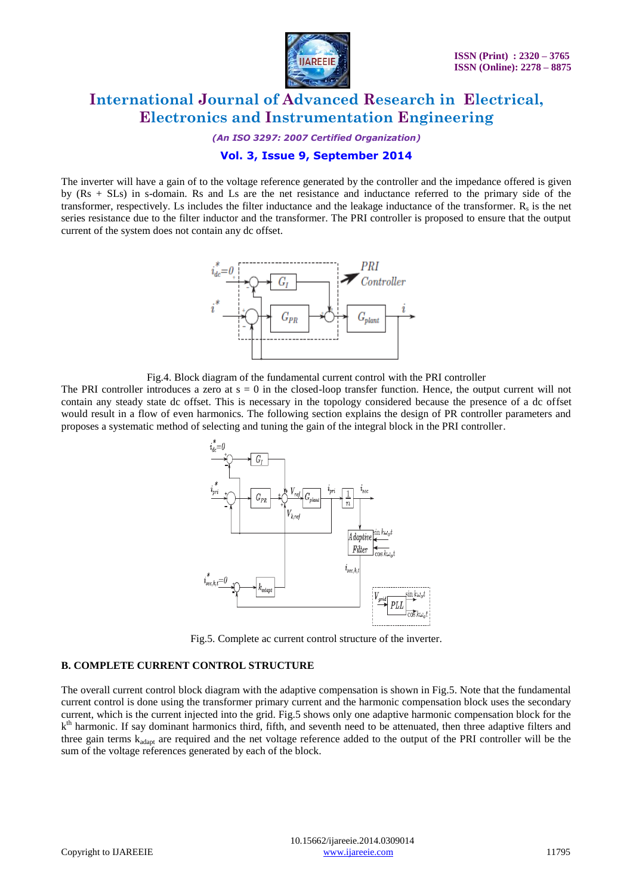

*(An ISO 3297: 2007 Certified Organization)*

## **Vol. 3, Issue 9, September 2014**

The inverter will have a gain of to the voltage reference generated by the controller and the impedance offered is given by (Rs + SLs) in s-domain. Rs and Ls are the net resistance and inductance referred to the primary side of the transformer, respectively. Ls includes the filter inductance and the leakage inductance of the transformer.  $R_s$  is the net series resistance due to the filter inductor and the transformer. The PRI controller is proposed to ensure that the output current of the system does not contain any dc offset.



Fig.4. Block diagram of the fundamental current control with the PRI controller

The PRI controller introduces a zero at  $s = 0$  in the closed-loop transfer function. Hence, the output current will not contain any steady state dc offset. This is necessary in the topology considered because the presence of a dc offset would result in a flow of even harmonics. The following section explains the design of PR controller parameters and proposes a systematic method of selecting and tuning the gain of the integral block in the PRI controller.



Fig.5. Complete ac current control structure of the inverter.

## **B. COMPLETE CURRENT CONTROL STRUCTURE**

The overall current control block diagram with the adaptive compensation is shown in Fig.5. Note that the fundamental current control is done using the transformer primary current and the harmonic compensation block uses the secondary current, which is the current injected into the grid. Fig.5 shows only one adaptive harmonic compensation block for the k<sup>th</sup> harmonic. If say dominant harmonics third, fifth, and seventh need to be attenuated, then three adaptive filters and three gain terms kadapt are required and the net voltage reference added to the output of the PRI controller will be the sum of the voltage references generated by each of the block.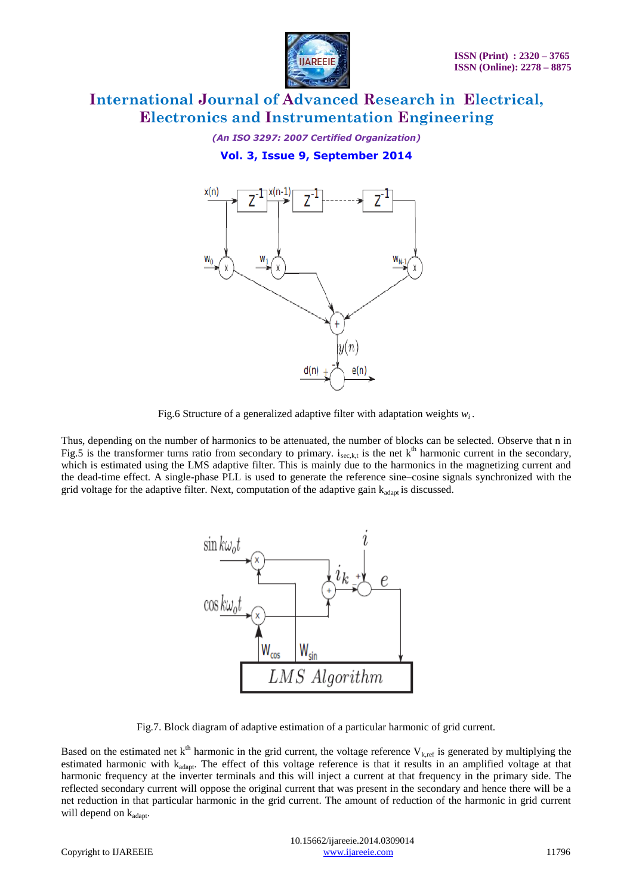

*(An ISO 3297: 2007 Certified Organization)*

**Vol. 3, Issue 9, September 2014**



Fig.6 Structure of a generalized adaptive filter with adaptation weights *wi* .

Thus, depending on the number of harmonics to be attenuated, the number of blocks can be selected. Observe that n in Fig.5 is the transformer turns ratio from secondary to primary.  $i_{sec, k,t}$  is the net  $k<sup>th</sup>$  harmonic current in the secondary, which is estimated using the LMS adaptive filter. This is mainly due to the harmonics in the magnetizing current and the dead-time effect. A single-phase PLL is used to generate the reference sine–cosine signals synchronized with the grid voltage for the adaptive filter. Next, computation of the adaptive gain  $k_{adapt}$  is discussed.



Fig.7. Block diagram of adaptive estimation of a particular harmonic of grid current.

Based on the estimated net  $k^{th}$  harmonic in the grid current, the voltage reference  $V_{k,ref}$  is generated by multiplying the estimated harmonic with k<sub>adapt</sub>. The effect of this voltage reference is that it results in an amplified voltage at that harmonic frequency at the inverter terminals and this will inject a current at that frequency in the primary side. The reflected secondary current will oppose the original current that was present in the secondary and hence there will be a net reduction in that particular harmonic in the grid current. The amount of reduction of the harmonic in grid current will depend on  $k_{adapt}$ .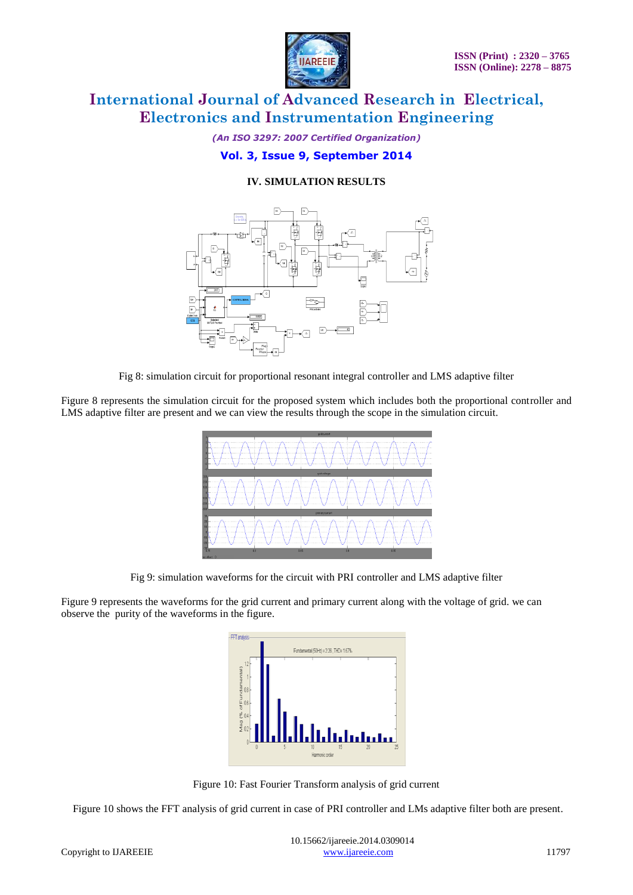

*(An ISO 3297: 2007 Certified Organization)*

## **Vol. 3, Issue 9, September 2014**

## **IV. SIMULATION RESULTS**



Fig 8: simulation circuit for proportional resonant integral controller and LMS adaptive filter

Figure 8 represents the simulation circuit for the proposed system which includes both the proportional controller and LMS adaptive filter are present and we can view the results through the scope in the simulation circuit.



Fig 9: simulation waveforms for the circuit with PRI controller and LMS adaptive filter

Figure 9 represents the waveforms for the grid current and primary current along with the voltage of grid. we can observe the purity of the waveforms in the figure.



Figure 10: Fast Fourier Transform analysis of grid current

Figure 10 shows the FFT analysis of grid current in case of PRI controller and LMs adaptive filter both are present.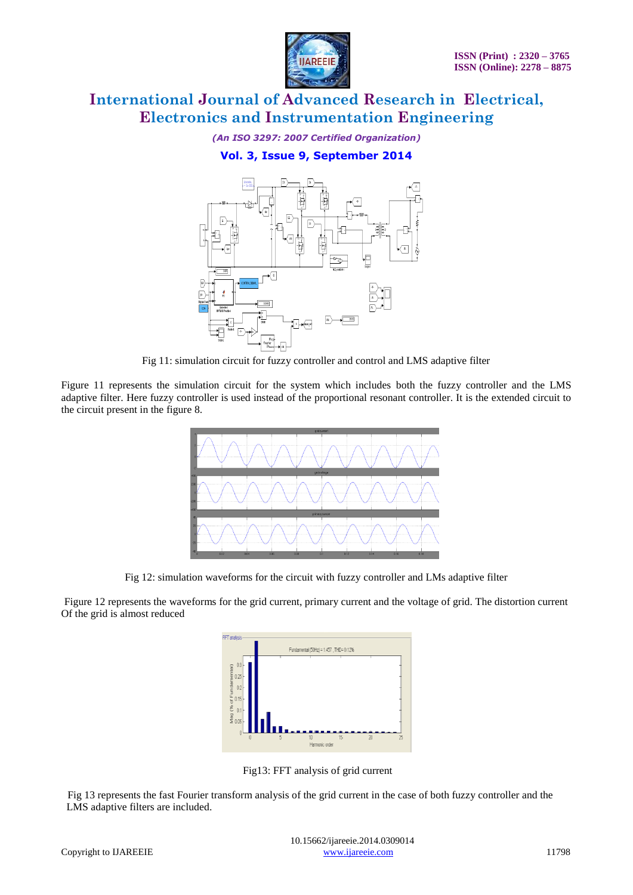

*(An ISO 3297: 2007 Certified Organization)*

**Vol. 3, Issue 9, September 2014**



Fig 11: simulation circuit for fuzzy controller and control and LMS adaptive filter

Figure 11 represents the simulation circuit for the system which includes both the fuzzy controller and the LMS adaptive filter. Here fuzzy controller is used instead of the proportional resonant controller. It is the extended circuit to the circuit present in the figure 8.



Fig 12: simulation waveforms for the circuit with fuzzy controller and LMs adaptive filter

Figure 12 represents the waveforms for the grid current, primary current and the voltage of grid. The distortion current Of the grid is almost reduced



Fig13: FFT analysis of grid current

 Fig 13 represents the fast Fourier transform analysis of the grid current in the case of both fuzzy controller and the LMS adaptive filters are included.